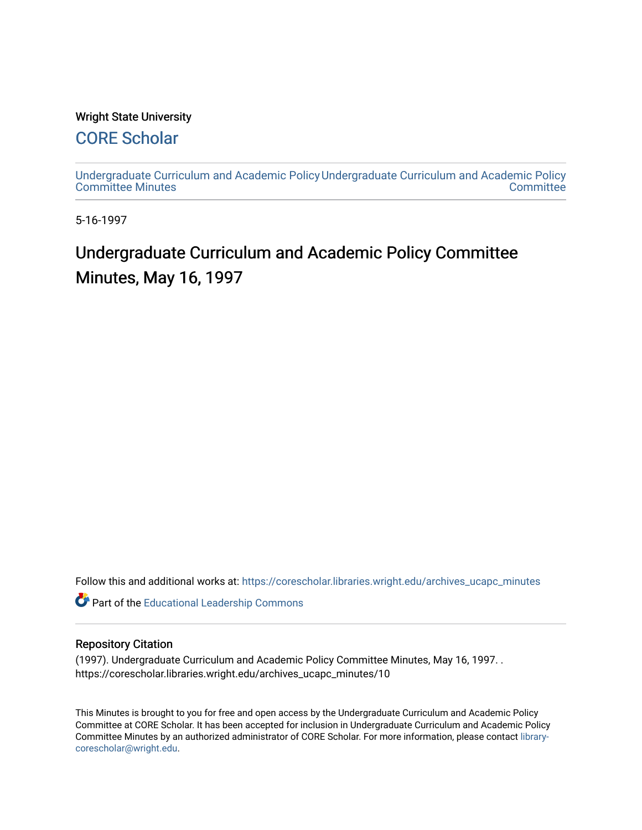### Wright State University

## [CORE Scholar](https://corescholar.libraries.wright.edu/)

[Undergraduate Curriculum and Academic Policy](https://corescholar.libraries.wright.edu/archives_ucapc_minutes) [Undergraduate Curriculum and Academic Policy](https://corescholar.libraries.wright.edu/archives_ucapc)  [Committee Minutes](https://corescholar.libraries.wright.edu/archives_ucapc_minutes) **Committee** 

5-16-1997

# Undergraduate Curriculum and Academic Policy Committee Minutes, May 16, 1997

Follow this and additional works at: [https://corescholar.libraries.wright.edu/archives\\_ucapc\\_minutes](https://corescholar.libraries.wright.edu/archives_ucapc_minutes?utm_source=corescholar.libraries.wright.edu%2Farchives_ucapc_minutes%2F10&utm_medium=PDF&utm_campaign=PDFCoverPages) 

Part of the [Educational Leadership Commons](http://network.bepress.com/hgg/discipline/1230?utm_source=corescholar.libraries.wright.edu%2Farchives_ucapc_minutes%2F10&utm_medium=PDF&utm_campaign=PDFCoverPages) 

#### Repository Citation

(1997). Undergraduate Curriculum and Academic Policy Committee Minutes, May 16, 1997. . https://corescholar.libraries.wright.edu/archives\_ucapc\_minutes/10

This Minutes is brought to you for free and open access by the Undergraduate Curriculum and Academic Policy Committee at CORE Scholar. It has been accepted for inclusion in Undergraduate Curriculum and Academic Policy Committee Minutes by an authorized administrator of CORE Scholar. For more information, please contact [library](mailto:library-corescholar@wright.edu)[corescholar@wright.edu](mailto:library-corescholar@wright.edu).